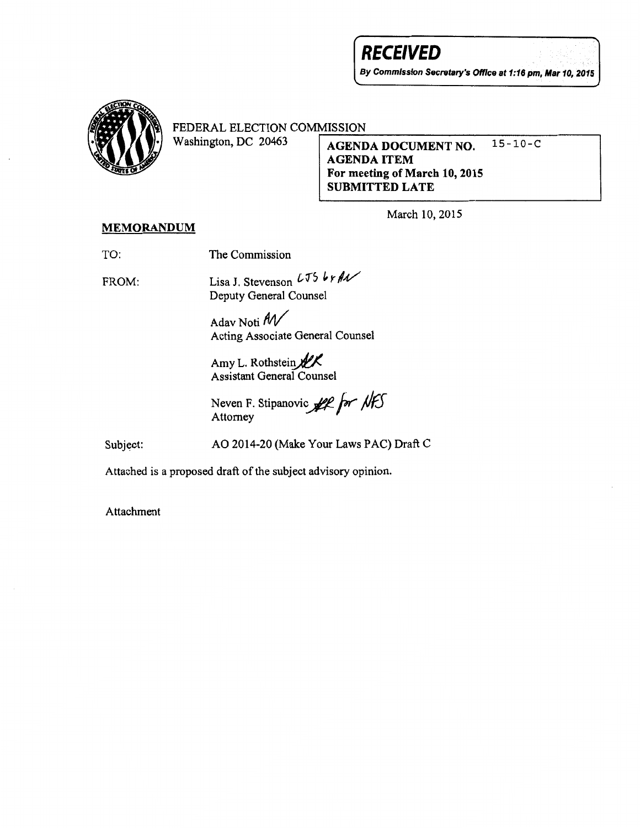# **RECEIVED**

By Commission Secretary's Office at 1:16 pm, Mar 10, 2015



FEDERAL ELECTION COMMISSION<br>Washington, DC 20463

AGENDA DOCUMENT NO. 15-10-C AGENDA ITEM For meeting of March 10, 2015 SUBMITTED LATE

March 10, 2015

## MEMORANDUM

TO: The Commission

FROM:

Lisa J. Stevenson  $L$ J5  $\frac{1}{2}$   $\frac{1}{2}$ Deputy General Counsel

Adav Noti *All/*  Acting Associate General Counsel

Amy L. Rothstein $\mathscr{K}$ Assistant General Counsel

Neven F. Stipanovic *for* NFS Attorney

Subject:

AO 2014-20 (Make Your Laws PAC) Draft C

Attached is a proposed draft of the subject advisory opinion.

Attachment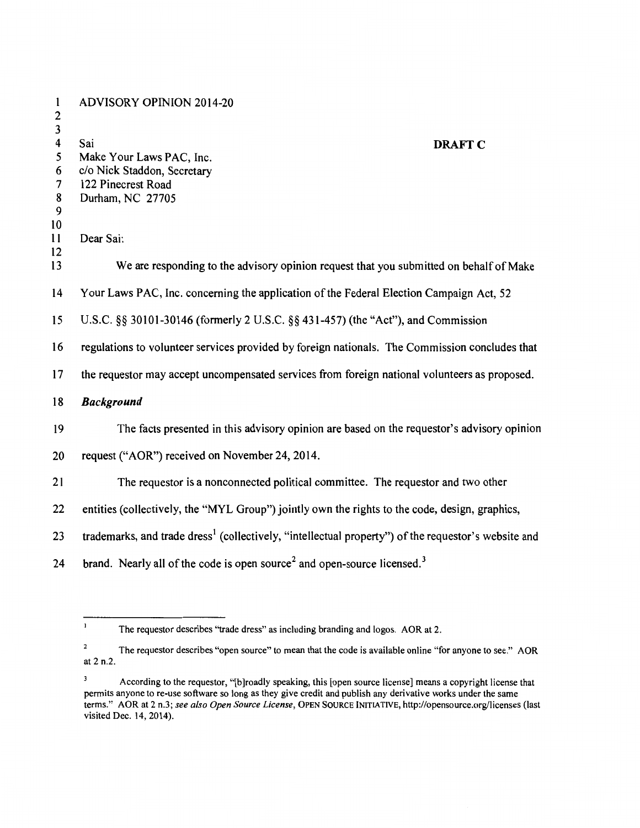| $\mathbf{1}$<br>$\mathbf{2}$      | <b>ADVISORY OPINION 2014-20</b>                                                                                 |
|-----------------------------------|-----------------------------------------------------------------------------------------------------------------|
| 3<br>$\overline{\mathbf{4}}$<br>5 | Sai<br><b>DRAFT C</b>                                                                                           |
| 6                                 | Make Your Laws PAC, Inc.<br>c/o Nick Staddon, Secretary                                                         |
| $\overline{7}$                    | 122 Pinecrest Road                                                                                              |
| 8                                 | Durham, NC 27705                                                                                                |
| 9                                 |                                                                                                                 |
| 10                                |                                                                                                                 |
| 11                                | Dear Sai:                                                                                                       |
| 12                                |                                                                                                                 |
| 13                                | We are responding to the advisory opinion request that you submitted on behalf of Make                          |
| 14                                | Your Laws PAC, Inc. concerning the application of the Federal Election Campaign Act, 52                         |
| 15                                | U.S.C. §§ 30101-30146 (formerly 2 U.S.C. §§ 431-457) (the "Act"), and Commission                                |
| 16                                | regulations to volunteer services provided by foreign nationals. The Commission concludes that                  |
| 17                                | the requestor may accept uncompensated services from foreign national volunteers as proposed.                   |
| 18                                | <b>Background</b>                                                                                               |
| 19                                | The facts presented in this advisory opinion are based on the requestor's advisory opinion                      |
| 20                                | request ("AOR") received on November 24, 2014.                                                                  |
| 21                                | The requestor is a nonconnected political committee. The requestor and two other                                |
| 22                                | entities (collectively, the "MYL Group") jointly own the rights to the code, design, graphics,                  |
| 23                                | trademarks, and trade dress <sup>1</sup> (collectively, "intellectual property") of the requestor's website and |
| 24                                | brand. Nearly all of the code is open source <sup>2</sup> and open-source licensed. <sup>3</sup>                |

 $\mathbf{1}$ The requestor describes "trade dress" as including branding and logos. AOR at 2.

 $\overline{\mathbf{c}}$ The requestor describes "open source" to mean that the code is available online "for anyone to see." AOR at 2 n.2.

According to the requestor, "[b]roadly speaking, this [open source license] means a copyright license that permits anyone to re-use software so long as they give credit and publish any derivative works under the same terms." AOR at 2 n.3; *see also Open Source License,* OPEN SOURCE INITIATIVE, http://opensource.org/licenses (last visited Dec. 14, 2014).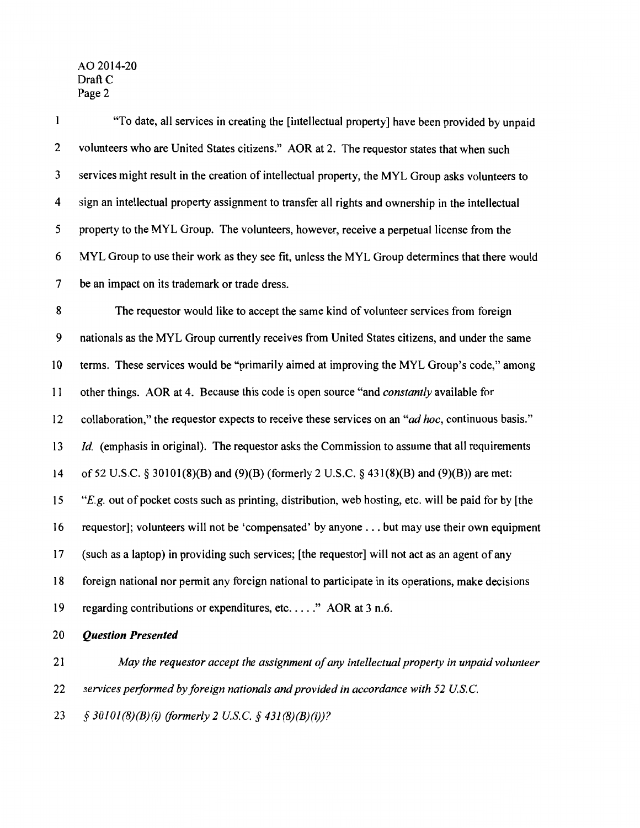| 1  | "To date, all services in creating the [intellectual property] have been provided by unpaid          |
|----|------------------------------------------------------------------------------------------------------|
| 2  | volunteers who are United States citizens." AOR at 2. The requestor states that when such            |
| 3  | services might result in the creation of intellectual property, the MYL Group asks volunteers to     |
| 4  | sign an intellectual property assignment to transfer all rights and ownership in the intellectual    |
| 5  | property to the MYL Group. The volunteers, however, receive a perpetual license from the             |
| 6  | MYL Group to use their work as they see fit, unless the MYL Group determines that there would        |
| 7  | be an impact on its trademark or trade dress.                                                        |
| 8  | The requestor would like to accept the same kind of volunteer services from foreign                  |
| 9  | nationals as the MYL Group currently receives from United States citizens, and under the same        |
| 10 | terms. These services would be "primarily aimed at improving the MYL Group's code," among            |
| 11 | other things. AOR at 4. Because this code is open source "and constantly available for               |
| 12 | collaboration," the requestor expects to receive these services on an "ad hoc, continuous basis."    |
| 13 | <i>Id.</i> (emphasis in original). The requestor asks the Commission to assume that all requirements |
| 14 | of 52 U.S.C. § 30101(8)(B) and (9)(B) (formerly 2 U.S.C. § 431(8)(B) and (9)(B)) are met:            |
| 15 | "E.g. out of pocket costs such as printing, distribution, web hosting, etc. will be paid for by [the |
| 16 | requestor]; volunteers will not be 'compensated' by anyone but may use their own equipment           |
| 17 | (such as a laptop) in providing such services; [the requestor] will not act as an agent of any       |
| 18 | foreign national nor permit any foreign national to participate in its operations, make decisions    |
| 19 | regarding contributions or expenditures, etc" AOR at $3$ n.6.                                        |
| 20 | <b>Question Presented</b>                                                                            |
| 21 | May the requestor accept the assignment of any intellectual property in unpaid volunteer             |
| 22 | services performed by foreign nationals and provided in accordance with 52 U.S.C.                    |

23 *§ 30101(8)(B)(i) (formerly 2 US. C.§ 431 (8)(B)(i))?*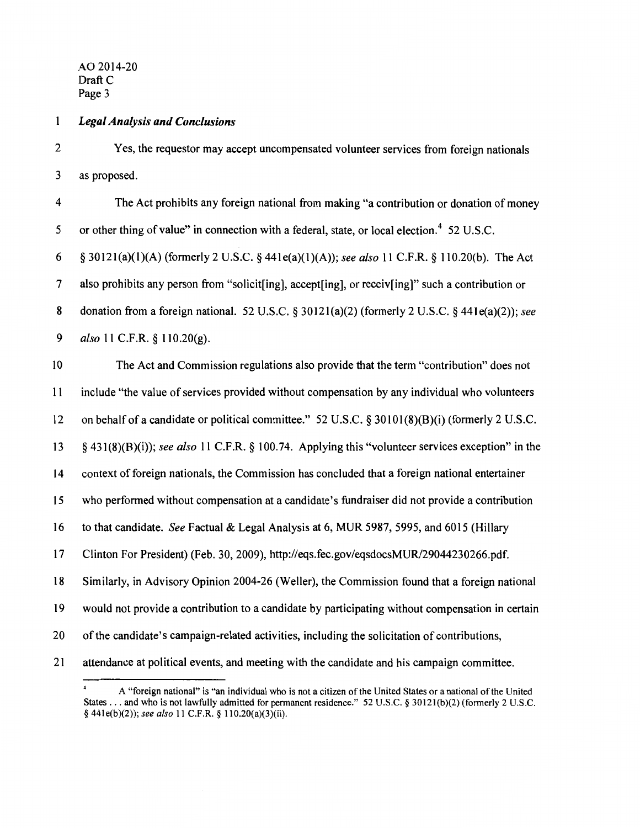#### $\mathbf{1}$ *Legal Analysis and Conclusions*

2 Yes, the requestor may accept uncompensated volunteer services from foreign nationals 3 as proposed.

4 The Act prohibits any foreign national from making "a contribution or donation of money 5 or other thing of value" in connection with a federal, state, or local election.<sup>4</sup> 52 U.S.C. 6 § 30121(a)(1)(A) (formerly 2 U.S.C. § 441e(a)(l)(A)); *see also* 11 C.F.R. § 110.20(b). The Act 7 also prohibits any person from "solicit[ing], accept[ing], or receiv[ing]" such a contribution or 8 donation from a foreign national. 52 U.S.C. § 30121(a)(2) (formerly 2 U.S.C. § 44le(a)(2)); *see*  9 *also* 11 C.F.R. § 110.20(g).

10 The Act and Commission regulations also provide that the term "contribution" does not

11 include "the value of services provided without compensation by any individual who volunteers

12 on behalf of a candidate or political committee." 52 U.S.C. § 30101(8)(B)(i) (formerly 2 U.S.C.

13 § 431 (8)(B)(i)); *see also* 11 C.F.R. § 100.74. Applying this "volunteer services exception" in the

14 context of foreign nationals, the Commission has concluded that a foreign national entertainer

15 who performed without compensation at a candidate's fundraiser did not provide a contribution

16 to that candidate. *See* Factual & Legal Analysis at 6, MUR 5987, 5995, and 6015 (Hillary

17 Clinton For President) (Feb. 30, 2009), http://eqs.fec.gov/eqsdocsMUR/29044230266.pdf.

18 Similarly, in Advisory Opinion 2004-26 (Weller), the Commission found that a foreign national

19 would not provide a contribution to a candidate by participating without compensation in certain

20 ofthe candidate's campaign-related activities, including the solicitation of contributions,

21 attendance at political events, and meeting with the candidate and his campaign committee.

A "foreign national" is "an individual who is not a citizen of the United States or a national of the United States ... and who is not lawfully admitted for permanent residence." 52 U.S.C. § 30121(b)(2) (formerly 2 U.S.C. § 441e(b)(2)); *see also* 11 C.F.R. § 110.20(a)(3)(ii).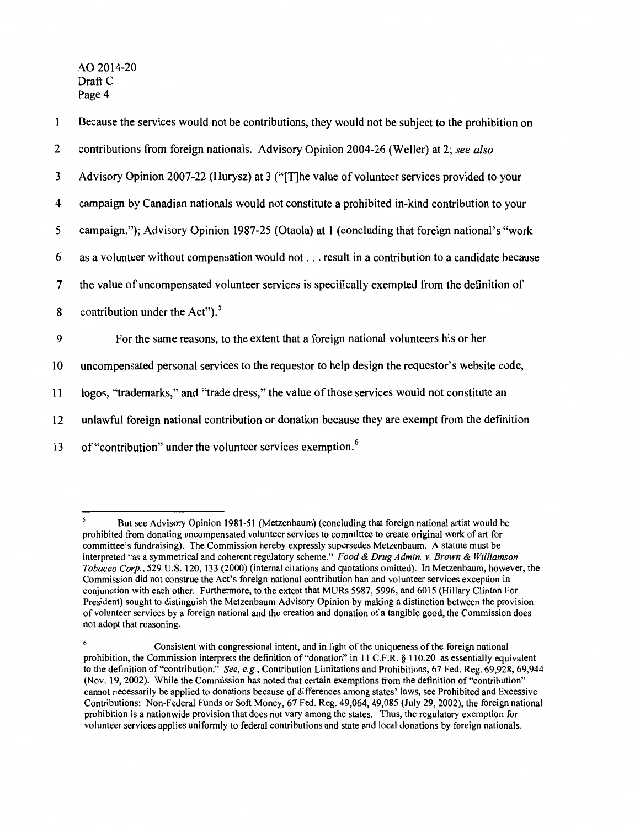| $\mathbf{1}$   | Because the services would not be contributions, they would not be subject to the prohibition on |
|----------------|--------------------------------------------------------------------------------------------------|
| $\overline{2}$ | contributions from foreign nationals. Advisory Opinion 2004-26 (Weller) at 2; see also           |
| 3              | Advisory Opinion 2007-22 (Hurysz) at 3 ("[T]he value of volunteer services provided to your      |
| 4              | campaign by Canadian nationals would not constitute a prohibited in-kind contribution to your    |
| 5              | campaign."); Advisory Opinion 1987-25 (Otaola) at 1 (concluding that foreign national's "work    |
| 6              | as a volunteer without compensation would not result in a contribution to a candidate because    |
| $\tau$         | the value of uncompensated volunteer services is specifically exempted from the definition of    |
| 8              | contribution under the Act"). <sup>5</sup>                                                       |
| 9              | For the same reasons, to the extent that a foreign national volunteers his or her                |
| 10             | uncompensated personal services to the requestor to help design the requestor's website code,    |
| 11             | logos, "trademarks," and "trade dress," the value of those services would not constitute an      |
| 12             | unlawful foreign national contribution or donation because they are exempt from the definition   |
| 13             | of "contribution" under the volunteer services exemption. <sup>6</sup>                           |

 $\mathsf{s}$ But see Advisory Opinion I98I-5I (Metzenbaum) (concluding that foreign national artist would be prohibited from donating uncompensated volunteer services to committee to create original work of art for committee's fundraising). The Commission hereby expressly supersedes Metzenbaum. A statute must be interpreted "as a symmetrical and coherent regulatory scheme." *Food* & *Drug Admin. v. Brown* & *Williamson Tobacco Corp.,* 529 U.S. I20, 133 (2000) (internal citations and quotations omitted). In Metzenbaum, however, the Commission did not construe the Act's foreign national contribution ban and volunteer services exception in conjunction with each other. Furthermore, to the extent that MURs 5987, 5996, and 60I5 (Hillary Clinton For President) sought to distinguish the Metzenbaum Advisory Opinion by making a distinction between the provision of volunteer services by a foreign national and the creation and donation of a tangible good, the Commission does not adopt that reasoning.

 $\epsilon$  Consistent with congressional intent, and in light of the uniqueness of the foreign national prohibition, the Commission interprets the definition of "donation" in 11 C.F.R. § 110.20 as essentially equivalent to the definition of"contribution." *See, e.g.,* Contribution Limitations and Prohibitions, 67 Fed. Reg. 69,928, 69,944 (Nov. I9, 2002). While the Commission has noted that certain exemptions from the definition of"contribution" cannot necessarily be applied to donations because of differences among states' Jaws, see Prohibited and Excessive Contributions: Non-Federal Funds or Soft Money, 67 Fed. Reg. 49,064, 49,085 (July 29, 2002), the foreign national prohibition is a nationwide provision that does not vary among the states. Thus, the regulatory exemption for volunteer services applies uniformly to federal contributions and state and local donations by foreign nationals.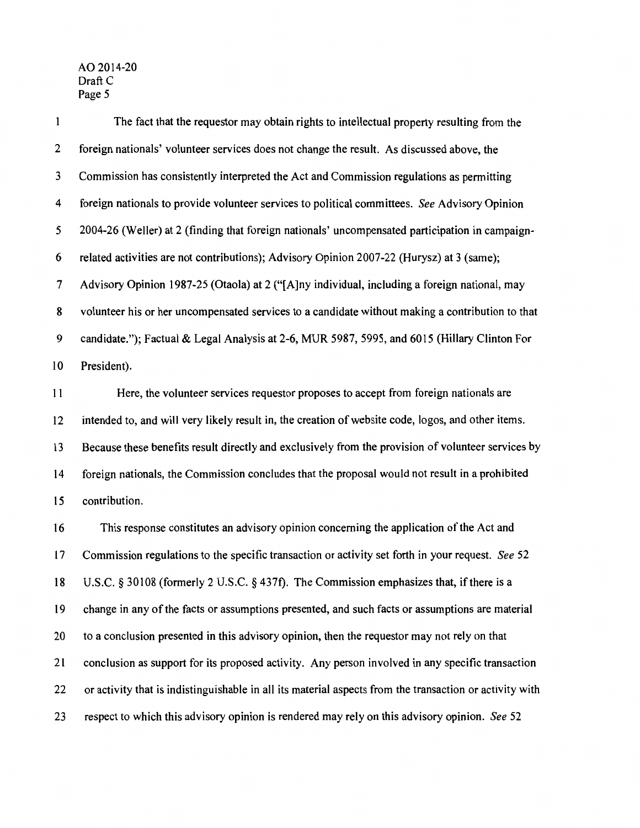$\mathbf 1$ The fact that the requestor may obtain rights to intellectual property resulting from the 2 foreign nationals' volunteer services does not change the result. As discussed above, the 3 Commission has consistently interpreted the Act and Commission regulations as permitting 4 foreign nationals to provide volunteer services to political committees. *See* Advisory Opinion 5 2004-26 (Weller) at 2 (finding that foreign nationals' uncompensated participation in campaign-6 related activities are not contributions); Advisory Opinion 2007-22 (Hurysz) at 3 (same); 7 Advisory Opinion 1987-25 (Otaola) at 2 ("[A]ny individual, including a foreign national, may 8 volunteer his or her uncompensated services to a candidate without making a contribution to that 9 candidate."); Factual & Legal Analysis at 2-6, MUR 5987, 5995, and 6015 (Hillary Clinton For 10 President). 11 Here, the volunteer services requestor proposes to accept from foreign nationals are 12 intended to, and will very likely result in, the creation of website code, logos, and other items.

13 Because these benefits result directly and exclusively from the provision of volunteer services by 14 foreign nationals, the Commission concludes that the proposal would not result in a prohibited 15 contribution.

16 This response constitutes an advisory opinion concerning the application ofthe Act and 17 Commission regulations to the specific transaction or activity set forth in your request. *See* 52 18 U.S.C. § 30108 (formerly 2 U.S.C. § 437f). The Commission emphasizes that, if there is a 19 change in any of the facts or assumptions presented, and such facts or assumptions are material 20 to a conclusion presented in this advisory opinion, then the requestor may not rely on that 21 conclusion as support for its proposed activity. Any person involved in any specific transaction 22 or activity that is indistinguishable in all its material aspects from the transaction or activity with 23 respect to which this advisory opinion is rendered may rely on this advisory opinion. *See* 52